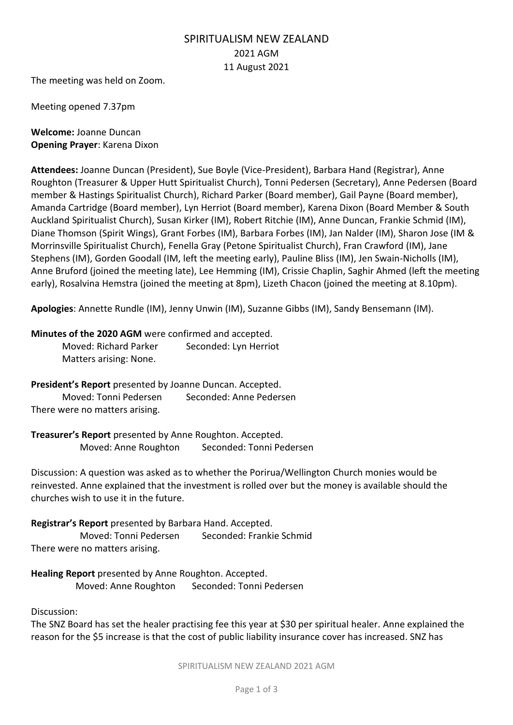## SPIRITUALISM NEW ZEALAND 2021 AGM 11 August 2021

The meeting was held on Zoom.

Meeting opened 7.37pm

**Welcome:** Joanne Duncan **Opening Prayer**: Karena Dixon

**Attendees:** Joanne Duncan (President), Sue Boyle (Vice-President), Barbara Hand (Registrar), Anne Roughton (Treasurer & Upper Hutt Spiritualist Church), Tonni Pedersen (Secretary), Anne Pedersen (Board member & Hastings Spiritualist Church), Richard Parker (Board member), Gail Payne (Board member), Amanda Cartridge (Board member), Lyn Herriot (Board member), Karena Dixon (Board Member & South Auckland Spiritualist Church), Susan Kirker (IM), Robert Ritchie (IM), Anne Duncan, Frankie Schmid (IM), Diane Thomson (Spirit Wings), Grant Forbes (IM), Barbara Forbes (IM), Jan Nalder (IM), Sharon Jose (IM & Morrinsville Spiritualist Church), Fenella Gray (Petone Spiritualist Church), Fran Crawford (IM), Jane Stephens (IM), Gorden Goodall (IM, left the meeting early), Pauline Bliss (IM), Jen Swain-Nicholls (IM), Anne Bruford (joined the meeting late), Lee Hemming (IM), Crissie Chaplin, Saghir Ahmed (left the meeting early), Rosalvina Hemstra (joined the meeting at 8pm), Lizeth Chacon (joined the meeting at 8.10pm).

**Apologies**: Annette Rundle (IM), Jenny Unwin (IM), Suzanne Gibbs (IM), Sandy Bensemann (IM).

## **Minutes of the 2020 AGM** were confirmed and accepted.

Moved: Richard Parker Seconded: Lyn Herriot Matters arising: None.

**President's Report** presented by Joanne Duncan. Accepted. Moved: Tonni Pedersen Seconded: Anne Pedersen There were no matters arising.

**Treasurer's Report** presented by Anne Roughton. Accepted. Moved: Anne Roughton Seconded: Tonni Pedersen

Discussion: A question was asked as to whether the Porirua/Wellington Church monies would be reinvested. Anne explained that the investment is rolled over but the money is available should the churches wish to use it in the future.

**Registrar's Report** presented by Barbara Hand. Accepted. Moved: Tonni Pedersen Seconded: Frankie Schmid There were no matters arising.

**Healing Report** presented by Anne Roughton. Accepted. Moved: Anne Roughton Seconded: Tonni Pedersen

Discussion:

The SNZ Board has set the healer practising fee this year at \$30 per spiritual healer. Anne explained the reason for the \$5 increase is that the cost of public liability insurance cover has increased. SNZ has

SPIRITUALISM NEW ZEALAND 2021 AGM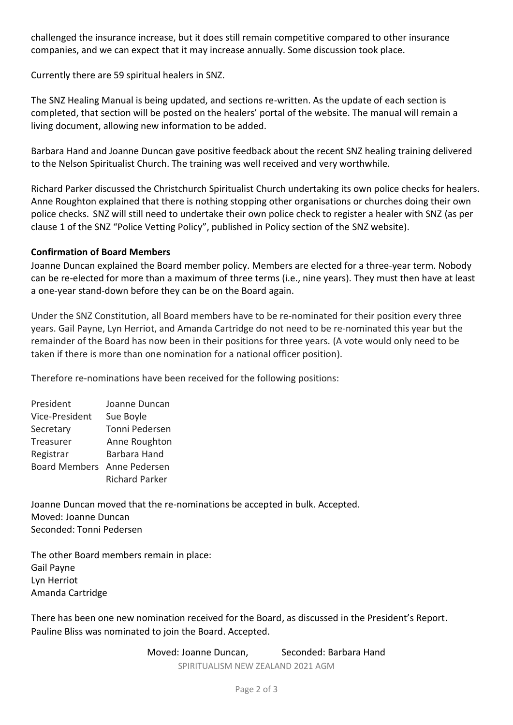challenged the insurance increase, but it does still remain competitive compared to other insurance companies, and we can expect that it may increase annually. Some discussion took place.

Currently there are 59 spiritual healers in SNZ.

The SNZ Healing Manual is being updated, and sections re-written. As the update of each section is completed, that section will be posted on the healers' portal of the website. The manual will remain a living document, allowing new information to be added.

Barbara Hand and Joanne Duncan gave positive feedback about the recent SNZ healing training delivered to the Nelson Spiritualist Church. The training was well received and very worthwhile.

Richard Parker discussed the Christchurch Spiritualist Church undertaking its own police checks for healers. Anne Roughton explained that there is nothing stopping other organisations or churches doing their own police checks. SNZ will still need to undertake their own police check to register a healer with SNZ (as per clause 1 of the SNZ "Police Vetting Policy", published in Policy section of the SNZ website).

## **Confirmation of Board Members**

Joanne Duncan explained the Board member policy. Members are elected for a three-year term. Nobody can be re-elected for more than a maximum of three terms (i.e., nine years). They must then have at least a one-year stand-down before they can be on the Board again.

Under the SNZ Constitution, all Board members have to be re-nominated for their position every three years. Gail Payne, Lyn Herriot, and Amanda Cartridge do not need to be re-nominated this year but the remainder of the Board has now been in their positions for three years. (A vote would only need to be taken if there is more than one nomination for a national officer position).

Therefore re-nominations have been received for the following positions:

| President                   | Joanne Duncan         |
|-----------------------------|-----------------------|
| Vice-President              | Sue Boyle             |
| Secretary                   | Tonni Pedersen        |
| Treasurer                   | Anne Roughton         |
| Registrar                   | Barbara Hand          |
| Board Members Anne Pedersen |                       |
|                             | <b>Richard Parker</b> |

Joanne Duncan moved that the re-nominations be accepted in bulk. Accepted. Moved: Joanne Duncan Seconded: Tonni Pedersen

The other Board members remain in place: Gail Payne Lyn Herriot Amanda Cartridge

There has been one new nomination received for the Board, as discussed in the President's Report. Pauline Bliss was nominated to join the Board. Accepted.

Moved: Joanne Duncan, Seconded: Barbara Hand

SPIRITUALISM NEW ZEALAND 2021 AGM